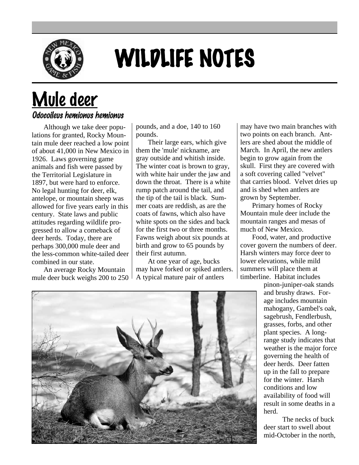

## WILDLIFE NOTES

## Mule deer

## Odocoileus hemionus hemionus

Although we take deer populations for granted, Rocky Mountain mule deer reached a low point of about 41,000 in New Mexico in 1926. Laws governing game animals and fish were passed by the Territorial Legislature in 1897, but were hard to enforce. No legal hunting for deer, elk, antelope, or mountain sheep was allowed for five years early in this century. State laws and public attitudes regarding wildlife progressed to allow a comeback of deer herds. Today, there are perhaps 300,000 mule deer and the less-common white-tailed deer combined in our state.

An average Rocky Mountain mule deer buck weighs 200 to 250 pounds, and a doe, 140 to 160 pounds.

Their large ears, which give them the 'mule' nickname, are gray outside and whitish inside. The winter coat is brown to gray, with white hair under the jaw and down the throat. There is a white rump patch around the tail, and the tip of the tail is black. Summer coats are reddish, as are the coats of fawns, which also have white spots on the sides and back for the first two or three months. Fawns weigh about six pounds at birth and grow to 65 pounds by their first autumn.

At one year of age, bucks may have forked or spiked antlers. A typical mature pair of antlers

may have two main branches with two points on each branch. Antlers are shed about the middle of March. In April, the new antlers begin to grow again from the skull. First they are covered with a soft covering called "velvet" that carries blood. Velvet dries up and is shed when antlers are grown by September.

Primary homes of Rocky Mountain mule deer include the mountain ranges and mesas of much of New Mexico.

Food, water, and productive cover govern the numbers of deer. Harsh winters may force deer to lower elevations, while mild summers will place them at timberline. Habitat includes

pinon-juniper-oak stands and brushy draws. Forage includes mountain mahogany, Gambel's oak, sagebrush, Fendlerbush, grasses, forbs, and other plant species. A longrange study indicates that weather is the major force governing the health of deer herds. Deer fatten up in the fall to prepare for the winter. Harsh conditions and low availability of food will result in some deaths in a herd.

The necks of buck deer start to swell about mid-October in the north,